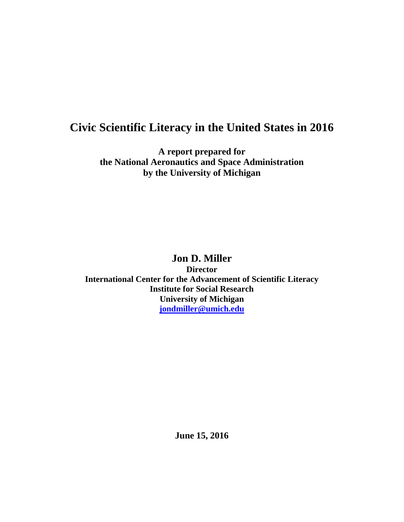# **Civic Scientific Literacy in the United States in 2016**

**A report prepared for the National Aeronautics and Space Administration by the University of Michigan**

## **Jon D. Miller**

**Director International Center for the Advancement of Scientific Literacy Institute for Social Research University of Michigan [jondmiller@umich.edu](mailto:jondmiller@umich.edu)**

**June 15, 2016**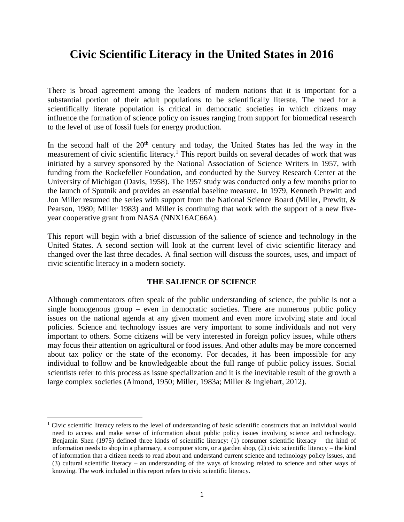# **Civic Scientific Literacy in the United States in 2016**

There is broad agreement among the leaders of modern nations that it is important for a substantial portion of their adult populations to be scientifically literate. The need for a scientifically literate population is critical in democratic societies in which citizens may influence the formation of science policy on issues ranging from support for biomedical research to the level of use of fossil fuels for energy production.

In the second half of the  $20<sup>th</sup>$  century and today, the United States has led the way in the measurement of civic scientific literacy.<sup>1</sup> This report builds on several decades of work that was initiated by a survey sponsored by the National Association of Science Writers in 1957, with funding from the Rockefeller Foundation, and conducted by the Survey Research Center at the University of Michigan (Davis, 1958). The 1957 study was conducted only a few months prior to the launch of Sputnik and provides an essential baseline measure. In 1979, Kenneth Prewitt and Jon Miller resumed the series with support from the National Science Board (Miller, Prewitt, & Pearson, 1980; Miller 1983) and Miller is continuing that work with the support of a new fiveyear cooperative grant from NASA (NNX16AC66A).

This report will begin with a brief discussion of the salience of science and technology in the United States. A second section will look at the current level of civic scientific literacy and changed over the last three decades. A final section will discuss the sources, uses, and impact of civic scientific literacy in a modern society.

### **THE SALIENCE OF SCIENCE**

Although commentators often speak of the public understanding of science, the public is not a single homogenous group – even in democratic societies. There are numerous public policy issues on the national agenda at any given moment and even more involving state and local policies. Science and technology issues are very important to some individuals and not very important to others. Some citizens will be very interested in foreign policy issues, while others may focus their attention on agricultural or food issues. And other adults may be more concerned about tax policy or the state of the economy. For decades, it has been impossible for any individual to follow and be knowledgeable about the full range of public policy issues. Social scientists refer to this process as issue specialization and it is the inevitable result of the growth a large complex societies (Almond, 1950; Miller, 1983a; Miller & Inglehart, 2012).

 $\overline{\phantom{a}}$ 

<sup>&</sup>lt;sup>1</sup> Civic scientific literacy refers to the level of understanding of basic scientific constructs that an individual would need to access and make sense of information about public policy issues involving science and technology. Benjamin Shen (1975) defined three kinds of scientific literacy: (1) consumer scientific literacy – the kind of information needs to shop in a pharmacy, a computer store, or a garden shop, (2) civic scientific literacy – the kind of information that a citizen needs to read about and understand current science and technology policy issues, and (3) cultural scientific literacy – an understanding of the ways of knowing related to science and other ways of knowing. The work included in this report refers to civic scientific literacy.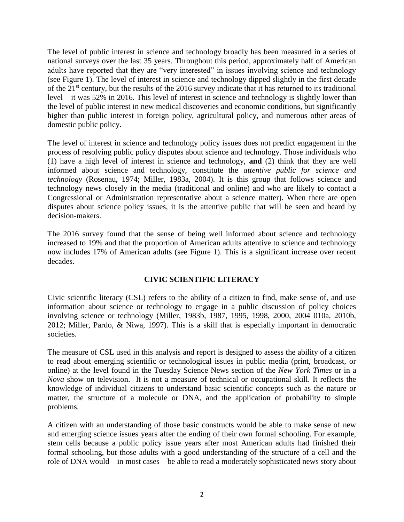The level of public interest in science and technology broadly has been measured in a series of national surveys over the last 35 years. Throughout this period, approximately half of American adults have reported that they are "very interested" in issues involving science and technology (see Figure 1). The level of interest in science and technology dipped slightly in the first decade of the 21st century, but the results of the 2016 survey indicate that it has returned to its traditional level – it was 52% in 2016. This level of interest in science and technology is slightly lower than the level of public interest in new medical discoveries and economic conditions, but significantly higher than public interest in foreign policy, agricultural policy, and numerous other areas of domestic public policy.

The level of interest in science and technology policy issues does not predict engagement in the process of resolving public policy disputes about science and technology. Those individuals who (1) have a high level of interest in science and technology, **and** (2) think that they are well informed about science and technology, constitute the *attentive public for science and technology* (Rosenau, 1974; Miller, 1983a, 2004). It is this group that follows science and technology news closely in the media (traditional and online) and who are likely to contact a Congressional or Administration representative about a science matter). When there are open disputes about science policy issues, it is the attentive public that will be seen and heard by decision-makers.

The 2016 survey found that the sense of being well informed about science and technology increased to 19% and that the proportion of American adults attentive to science and technology now includes 17% of American adults (see Figure 1). This is a significant increase over recent decades.

### **CIVIC SCIENTIFIC LITERACY**

Civic scientific literacy (CSL) refers to the ability of a citizen to find, make sense of, and use information about science or technology to engage in a public discussion of policy choices involving science or technology (Miller, 1983b, 1987, 1995, 1998, 2000, 2004 010a, 2010b, 2012; Miller, Pardo, & Niwa, 1997). This is a skill that is especially important in democratic societies.

The measure of CSL used in this analysis and report is designed to assess the ability of a citizen to read about emerging scientific or technological issues in public media (print, broadcast, or online) at the level found in the Tuesday Science News section of the *New York Times* or in a *Nova* show on television. It is not a measure of technical or occupational skill. It reflects the knowledge of individual citizens to understand basic scientific concepts such as the nature or matter, the structure of a molecule or DNA, and the application of probability to simple problems.

A citizen with an understanding of those basic constructs would be able to make sense of new and emerging science issues years after the ending of their own formal schooling. For example, stem cells because a public policy issue years after most American adults had finished their formal schooling, but those adults with a good understanding of the structure of a cell and the role of DNA would – in most cases – be able to read a moderately sophisticated news story about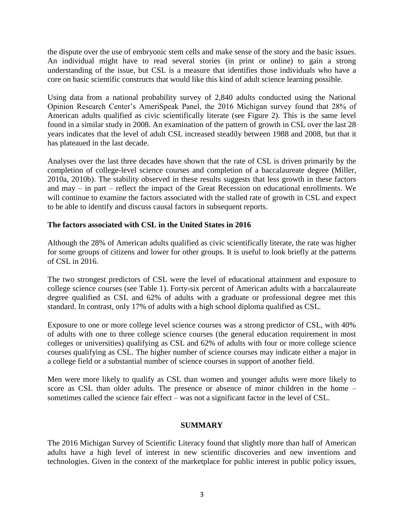the dispute over the use of embryonic stem cells and make sense of the story and the basic issues. An individual might have to read several stories (in print or online) to gain a strong understanding of the issue, but CSL is a measure that identifies those individuals who have a core on basic scientific constructs that would like this kind of adult science learning possible.

Using data from a national probability survey of 2,840 adults conducted using the National Opinion Research Center's AmeriSpeak Panel, the 2016 Michigan survey found that 28% of American adults qualified as civic scientifically literate (see Figure 2). This is the same level found in a similar study in 2008. An examination of the pattern of growth in CSL over the last 28 years indicates that the level of adult CSL increased steadily between 1988 and 2008, but that it has plateaued in the last decade.

Analyses over the last three decades have shown that the rate of CSL is driven primarily by the completion of college-level science courses and completion of a baccalaureate degree (Miller, 2010a, 2010b). The stability observed in these results suggests that less growth in these factors and may – in part – reflect the impact of the Great Recession on educational enrollments. We will continue to examine the factors associated with the stalled rate of growth in CSL and expect to be able to identify and discuss causal factors in subsequent reports.

### **The factors associated with CSL in the United States in 2016**

Although the 28% of American adults qualified as civic scientifically literate, the rate was higher for some groups of citizens and lower for other groups. It is useful to look briefly at the patterns of CSL in 2016.

The two strongest predictors of CSL were the level of educational attainment and exposure to college science courses (see Table 1). Forty-six percent of American adults with a baccalaureate degree qualified as CSL and 62% of adults with a graduate or professional degree met this standard. In contrast, only 17% of adults with a high school diploma qualified as CSL.

Exposure to one or more college level science courses was a strong predictor of CSL, with 40% of adults with one to three college science courses (the general education requirement in most colleges or universities) qualifying as CSL and 62% of adults with four or more college science courses qualifying as CSL. The higher number of science courses may indicate either a major in a college field or a substantial number of science courses in support of another field.

Men were more likely to qualify as CSL than women and younger adults were more likely to score as CSL than older adults. The presence or absence of minor children in the home – sometimes called the science fair effect – was not a significant factor in the level of CSL.

### **SUMMARY**

The 2016 Michigan Survey of Scientific Literacy found that slightly more than half of American adults have a high level of interest in new scientific discoveries and new inventions and technologies. Given in the context of the marketplace for public interest in public policy issues,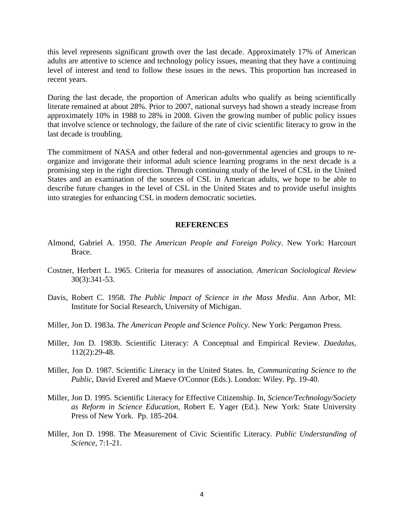this level represents significant growth over the last decade. Approximately 17% of American adults are attentive to science and technology policy issues, meaning that they have a continuing level of interest and tend to follow these issues in the news. This proportion has increased in recent years.

During the last decade, the proportion of American adults who qualify as being scientifically literate remained at about 28%. Prior to 2007, national surveys had shown a steady increase from approximately 10% in 1988 to 28% in 2008. Given the growing number of public policy issues that involve science or technology, the failure of the rate of civic scientific literacy to grow in the last decade is troubling.

The commitment of NASA and other federal and non-governmental agencies and groups to reorganize and invigorate their informal adult science learning programs in the next decade is a promising step in the right direction. Through continuing study of the level of CSL in the United States and an examination of the sources of CSL in American adults, we hope to be able to describe future changes in the level of CSL in the United States and to provide useful insights into strategies for enhancing CSL in modern democratic societies.

#### **REFERENCES**

- Almond, Gabriel A. 1950. *The American People and Foreign Policy*. New York: Harcourt Brace.
- Costner, Herbert L. 1965. Criteria for measures of association. *American Sociological Review* 30(3):341-53.
- Davis, Robert C. 1958. *The Public Impact of Science in the Mass Media*. Ann Arbor, MI: Institute for Social Research, University of Michigan.
- Miller, Jon D. 1983a. *The American People and Science Policy*. New York: Pergamon Press.
- Miller, Jon D. 1983b. Scientific Literacy: A Conceptual and Empirical Review. *Daedalus*, 112(2):29-48.
- Miller, Jon D. 1987. Scientific Literacy in the United States. In, *Communicating Science to the Public*, David Evered and Maeve O'Connor (Eds.). London: Wiley. Pp. 19-40.
- Miller, Jon D. 1995. Scientific Literacy for Effective Citizenship. In, *Science/Technology/Society as Reform in Science Education*, Robert E. Yager (Ed.). New York: State University Press of New York. Pp. 185-204.
- Miller, Jon D. 1998. The Measurement of Civic Scientific Literacy. *Public Understanding of Science*, 7:1-21.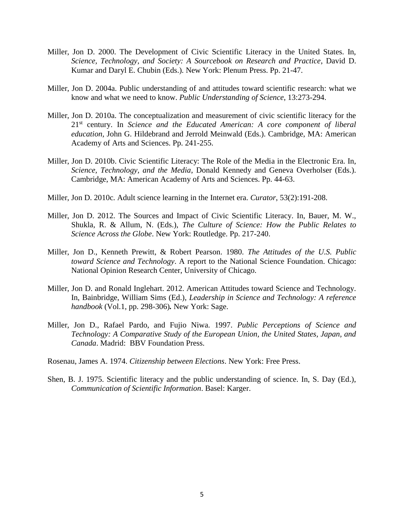- Miller, Jon D. 2000. The Development of Civic Scientific Literacy in the United States. In, *Science, Technology, and Society: A Sourcebook on Research and Practice*, David D. Kumar and Daryl E. Chubin (Eds.). New York: Plenum Press. Pp. 21-47.
- Miller, Jon D. 2004a. Public understanding of and attitudes toward scientific research: what we know and what we need to know. *Public Understanding of Science*, 13:273-294.
- Miller, Jon D. 2010a. The conceptualization and measurement of civic scientific literacy for the 21st century. In *Science and the Educated American: A core component of liberal education,* John G. Hildebrand and Jerrold Meinwald (Eds.). Cambridge, MA: American Academy of Arts and Sciences. Pp. 241-255.
- Miller, Jon D. 2010b. Civic Scientific Literacy: The Role of the Media in the Electronic Era. In, *Science, Technology, and the Media*, Donald Kennedy and Geneva Overholser (Eds.). Cambridge, MA: American Academy of Arts and Sciences. Pp. 44-63.
- Miller, Jon D. 2010c. Adult science learning in the Internet era. *Curator*, 53(2):191-208.
- Miller, Jon D. 2012. The Sources and Impact of Civic Scientific Literacy. In, Bauer, M. W., Shukla, R. & Allum, N. (Eds.), *The Culture of Science: How the Public Relates to Science Across the Globe*. New York: Routledge. Pp. 217-240.
- Miller, Jon D., Kenneth Prewitt, & Robert Pearson. 1980. *The Attitudes of the U.S. Public toward Science and Technology*. A report to the National Science Foundation. Chicago: National Opinion Research Center, University of Chicago.
- Miller, Jon D. and Ronald Inglehart. 2012. American Attitudes toward Science and Technology. In, Bainbridge, William Sims (Ed.), *Leadership in Science and Technology: A reference handbook* (Vol.1, pp. 298-306)*.* New York: Sage.
- Miller, Jon D., Rafael Pardo, and Fujio Niwa. 1997. *Public Perceptions of Science and Technology: A Comparative Study of the European Union, the United States, Japan, and Canada*. Madrid: BBV Foundation Press.

Rosenau, James A. 1974. *Citizenship between Elections*. New York: Free Press.

Shen, B. J. 1975. Scientific literacy and the public understanding of science. In, S. Day (Ed.), *Communication of Scientific Information*. Basel: Karger.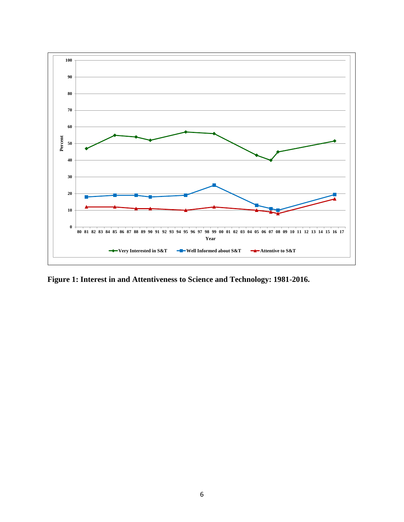

**Figure 1: Interest in and Attentiveness to Science and Technology: 1981-2016.**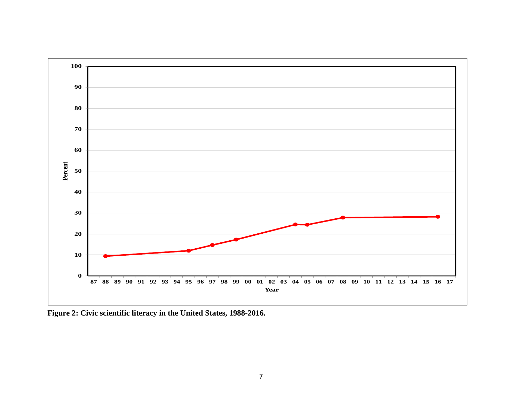

**Figure 2: Civic scientific literacy in the United States, 1988-2016.**